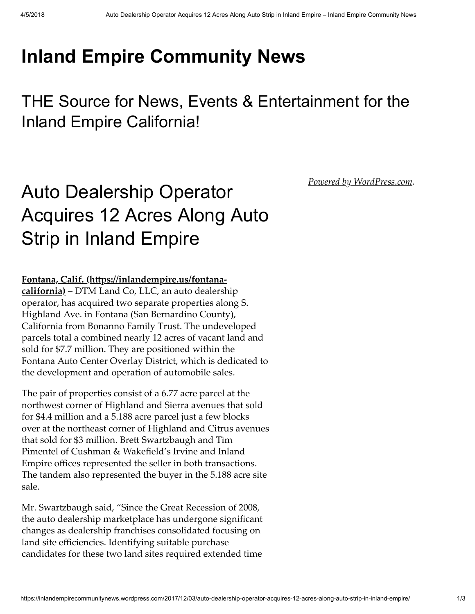## [Inland Empire Community News](https://inlandempirecommunitynews.wordpress.com/)

THE Source for News, Events & Entertainment for the Inland Empire California!

## Auto Dealership Operator Acquires 12 Acres Along Auto Strip in Inland Empire

## Fontana, Calif. (https://inlandempire.us/fontana-

california) – DTM Land Co, LLC, an auto dealership operator, has acquired two separate properties along S. Highland Ave. in Fontana (San Bernardino County), California from Bonanno Family Trust. The undeveloped parcels total a combined nearly 12 acres of vacant land and sold for \$7.7 million. They are positioned within the Fontana Auto Center Overlay District, which is dedicated to the development and operation of automobile sales.

The pair of properties consist of a 6.77 acre parcel at the northwest corner of Highland and Sierra avenues that sold for \$4.4 million and a 5.188 acre parcel just a few blocks over at the northeast corner of Highland and Citrus avenues that sold for \$3 million. Brett Swartzbaugh and Tim Pimentel of Cushman & Wakefield's Irvine and Inland Empire offices represented the seller in both transactions. The tandem also represented the buyer in the 5.188 acre site sale.

Mr. Swartzbaugh said, "Since the Great Recession of 2008, the auto dealership marketplace has undergone significant changes as dealership franchises consolidated focusing on land site efficiencies. Identifying suitable purchase candidates for these two land sites required extended time

*[Powered by WordPress.com](https://wordpress.com/?ref=footer_custom_powered).*